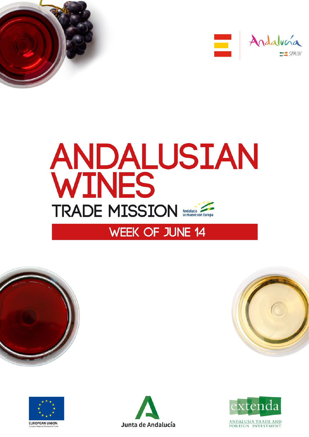













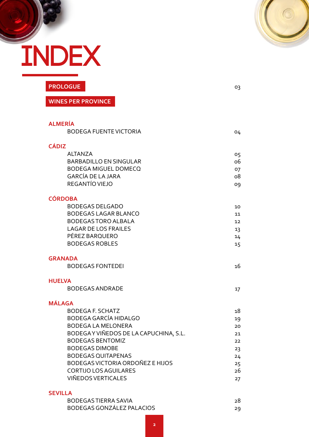

03

# **INDEX**

**[PROLOGUE](#page-2-0)**

**WINES PER PROVINCE**

| <b>ALMERÍA</b><br><b>BODEGA FUENTE VICTORIA</b>                    | 04       |
|--------------------------------------------------------------------|----------|
| <b>CÁDIZ</b>                                                       |          |
| <b>ALTANZA</b>                                                     | 05       |
| <b>BARBADILLO EN SINGULAR</b>                                      | 06       |
| <b>BODEGA MIGUEL DOMECQ</b><br><b>GARCÍA DE LA JARA</b>            | 07<br>08 |
| REGANTÍO VIEJO                                                     | 09       |
|                                                                    |          |
| <b>CÓRDOBA</b>                                                     |          |
| <b>BODEGAS DELGADO</b>                                             | 10       |
| <b>BODEGAS LAGAR BLANCO</b>                                        | 11       |
| <b>BODEGAS TORO ALBALA</b><br><b>LAGAR DE LOS FRAILES</b>          | 12       |
| PÉREZ BARQUERO                                                     | 13<br>14 |
| <b>BODEGAS ROBLES</b>                                              | 15       |
|                                                                    |          |
| <b>GRANADA</b>                                                     |          |
| <b>BODEGAS FONTEDEI</b>                                            | 16       |
| <b>HUELVA</b>                                                      |          |
| <b>BODEGAS ANDRADE</b>                                             | 17       |
| <b>MÁLAGA</b>                                                      |          |
| <b>BODEGA F. SCHATZ</b>                                            | 18       |
| <b>BODEGA GARCÍA HIDALGO</b>                                       | 19       |
| <b>BODEGA LA MELONERA</b><br>BODEGAY VIÑEDOS DE LA CAPUCHINA, S.L. | 20       |
| <b>BODEGAS BENTOMIZ</b>                                            | 21<br>22 |
| <b>BODEGAS DIMOBE</b>                                              | 23       |
| <b>BODEGAS QUITAPENAS</b>                                          | 24       |
| BODEGAS VICTORIA ORDOÑEZ E HIJOS                                   | 25       |
| <b>CORTIJO LOS AGUILARES</b>                                       | 26       |
| <b>VIÑEDOS VERTICALES</b>                                          | 27       |
| <b>SEVILLA</b>                                                     |          |
| <b>BODEGAS TIERRA SAVIA</b>                                        | 28       |
| <b>BODEGAS GONZÁLEZ PALACIOS</b>                                   | 29       |
|                                                                    |          |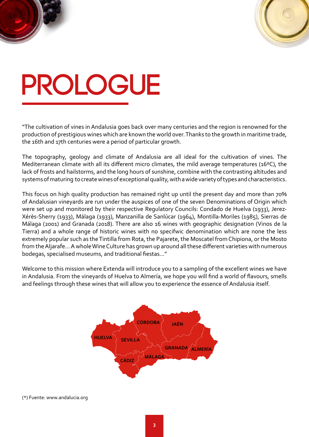

# <span id="page-2-0"></span>**PROLOGUE**

"The cultivation of vines in Andalusia goes back over many centuries and the region is renowned for the production of prestigious wines which are known the world over. Thanks to the growth in maritime trade, the 16th and 17th centuries were a period of particular growth.

The topography, geology and climate of Andalusia are all ideal for the cultivation of vines. The Mediterranean climate with all its different micro climates, the mild average temperatures (16ºC), the lack of frosts and hailstorms, and the long hours of sunshine, combine with the contrasting altitudes and systems of maturing to create wines of exceptional quality, with a wide variety of types and characteristics.

This focus on high quality production has remained right up until the present day and more than 70% of Andalusian vineyards are run under the auspices of one of the seven Denominations of Origin which were set up and monitored by their respective Regulatory Councils: Condado de Huelva (1933), Jerez-Xérès-Sherry (1933), Málaga (1933), Manzanilla de Sanlúcar (1964), Montilla-Moriles (1985), Sierras de Málaga (2001) and Granada (2018). There are also 16 wines with geographic designation (Vinos de la Tierra) and a whole range of historic wines with no specifwic denomination which are none the less extremely popular such as the Tintilla from Rota, the Pajarete, the Moscatel from Chipiona, or the Mosto from the Aljarafe... A whole Wine Culture has grown up around all these different varieties with numerous bodegas, specialised museums, and traditional fiestas..."

Welcome to this mission where Extenda will introduce you to a sampling of the excellent wines we have in Andalusia. From the vineyards of Huelva to Almería, we hope you will find a world of flavours, smells and feelings through these wines that will allow you to experience the essence of Andalusia itself.



(\*) Fuente: www.andalucia.org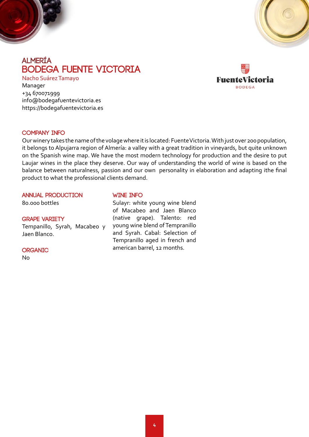<span id="page-3-0"></span>



## **almería BODEGA FUENTE VICTORIA**

Nacho Suárez Tamayo Manager +34 670071999 info@bodegafuentevictoria.es https://bodegafuentevictoria.es



#### **COMPANY INFO**

Our winery takes the name of the volage where it is located: Fuente Victoria. With just over 200 population, it belongs to Alpujarra region of Almería: a valley with a great tradition in vineyards, but quite unknown on the Spanish wine map. We have the most modern technology for production and the desire to put Laujar wines in the place they deserve. Our way of understanding the world of wine is based on the balance between naturalness, passion and our own personality in elaboration and adapting ithe final product to what the professional clients demand.

#### **ANNUAL PRODUCTION**

80.000 bottles

#### **GRAPE VARIETY**

Tempanillo, Syrah, Macabeo y Jaen Blanco.

#### **organic**

No

#### **WINE INFO**

Sulayr: white young wine blend of Macabeo and Jaen Blanco (native grape). Talento: red young wine blend of Tempranillo and Syrah. Cabal: Selection of Tempranillo aged in french and american barrel, 12 months.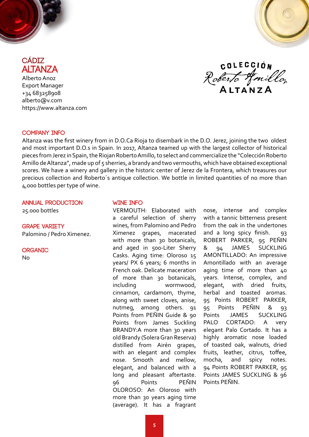<span id="page-4-0"></span>



**cádiz ALTANZA** Alberto Anoz

Export Manager +34 683258908 alberto@v.com https://www.altanza.com

**COLECCIÓN** Roberto Amillo A LTA N Z A

#### **COMPANY INFO**

Altanza was the first winery from in D.O.Ca Rioja to disembark in the D.O. Jerez, joining the two oldest and most important D.O.s in Spain. In 2017, Altanza teamed up with the largest collector of historical pieces from Jerez in Spain, the Riojan Roberto Amillo, to select and commercialize the "Colección Roberto Amillo de Altanza", made up of 5 sherries, a brandy and two vermouths, which have obtained exceptional scores. We have a winery and gallery in the historic center of Jerez de la Frontera, which treasures our precious collection and Roberto´s antique collection. We bottle in limited quantities of no more than 4,000 bottles per type of wine.

#### **ANNUAL PRODUCTION**

25.000 bottles

#### **GRAPE VARIETY**

Palomino / Pedro Ximenez.

#### **organic**

No

#### **WINE INFO**

VERMOUTH: Elaborated with a careful selection of sherry wines, from Palomino and Pedro Ximenez grapes, macerated with more than 30 botanicals, and aged in 500-Liter Sherry Casks. Aging time: Oloroso 15 years/ PX 6 years; 6 months in French oak. Delicate maceration of more than 30 botanicals, including wormwood, cinnamon, cardamom, thyme, along with sweet cloves, anise, nutmeg, among others. 91 Points from PEÑIN Guide & 90 Points from James Suckling BRANDY:A more than 30 years old Brandy (Solera Gran Reserva) distilled from Airén grapes, with an elegant and complex nose. Smooth and mellow, elegant, and balanced with a long and pleasant aftertaste. 96 Points PEÑIN OLOROSO: An Oloroso with more than 30 years aging time (average). It has a fragrant

nose, intense and complex with a tannic bitterness present from the oak in the undertones and a long spicy finish. 93 ROBERT PARKER, 95 PEÑIN & 94 JAMES SUCKLING AMONTILLADO: An impressive Amontillado with an average aging time of more than 40 years. Intense, complex, and elegant, with dried fruits, herbal and toasted aromas. 95 Points ROBERT PARKER, 95 Points PEÑIN & 93 Points JAMES SUCKLING PALO CORTADO: A very elegant Palo Cortado. It has a highly aromatic nose loaded of toasted oak, walnuts, dried fruits, leather, citrus, toffee, mocha, and spicy notes. 94 Points ROBERT PARKER, 95 Points JAMES SUCKLING & 96 Points PEÑIN.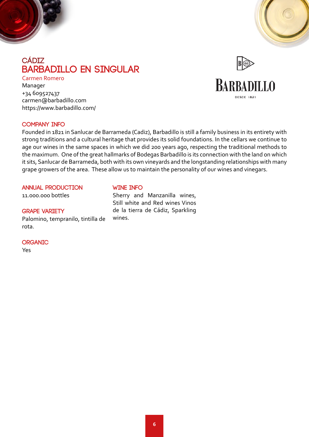<span id="page-5-0"></span>

## **cádiz Barbadillo en singular**

Carmen Romero Manager +34 609527437 carmen@barbadillo.com https://www.barbadillo.com/



## **BARBADILLO**

DESDE 1821

#### **COMPANY INFO**

Founded in 1821 in Sanlucar de Barrameda (Cadiz), Barbadillo is still a family business in its entirety with strong traditions and a cultural heritage that provides its solid foundations. In the cellars we continue to age our wines in the same spaces in which we did 200 years ago, respecting the traditional methods to the maximum. One of the great hallmarks of Bodegas Barbadillo is its connection with the land on which it sits, Sanlucar de Barrameda, both with its own vineyards and the longstanding relationships with many grape growers of the area. These allow us to maintain the personality of our wines and vinegars.

#### **ANNUAL PRODUCTION**

11.000.000 bottles

#### **GRAPE VARIETY**

Palomino, tempranilo, tintilla de rota.

#### **organic**

Yes

#### **WINE INFO**

Sherry and Manzanilla wines, Still white and Red wines Vinos de la tierra de Cádiz, Sparkling wines.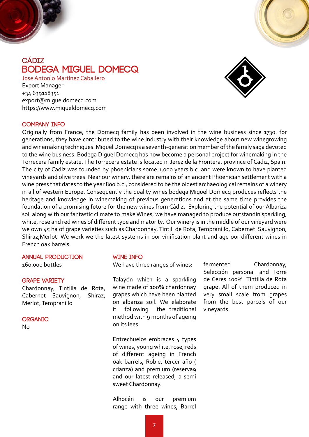<span id="page-6-0"></span>

## **cádiz BODEGA MIGUEL DOMECQ**

Jose Antonio Martínez Caballero Export Manager +34 639118351 export@migueldomecq.com https://www.migueldomecq.com



#### **COMPANY INFO**

Originally from France, the Domecq family has been involved in the wine business since 1730. for generations, they have contributed to the wine industry with their knowledge about new winegrowing and winemaking techniques. Miguel Domecq is a seventh-generation member of the family saga devoted to the wine business. Bodega Diguel Domecq has now become a personal project for winemaking in the Torrecera family estate. The Torrecera estate is located in Jerez de la Frontera, province of Cadiz, Spain. The city of Cadiz was founded by phoenicians some 1,000 years b.c. and were known to have planted vineyards and olive trees. Near our winery, there are remains of an ancient Phoenician settlement with a wine press that dates to the year 800 b.c., considered to be the oldest archaeological remains of a winery in all of western Europe. Consequently the quality wines bodega Miguel Domecq produces reflects the heritage and knowledge in winemaking of previous generations and at the same time provides the foundation of a promising future for the new wines from Cádiz. Exploring the potential of our Albariza soil along with our fantastic climate to make Wines, we have managed to produce outstandin sparkling, white, rose and red wines of different type and maturity. Our winery is in the middle of our vineyard were we own 45 ha of grape varieties such as Chardonnay, Tintill de Rota, Tempranillo, Cabernet Sauvignon, Shiraz,Merlot We work we the latest systems in our vinification plant and age our different wines in French oak barrels.

### **ANNUAL PRODUCTION**

160.000 bottles

#### **GRAPE VARIETY**

Chardonnay, Tintilla de Rota, Cabernet Sauvignon, Shiraz, Merlot, Tempranillo

#### **organic**

No

#### **WINE INFO**

We have three ranges of wines:

Talayón which is a sparkling wine made of 100% chardonnay grapes which have been planted on albariza soil. We elaborate it following the traditional method with 9 months of ageing on its lees.

Entrechuelos embraces 4 types of wines, young white, rose, reds of different ageing in French oak barrels, Roble, tercer año ( crianza) and premium (reserva9 and our latest released, a semi sweet Chardonnay.

Alhocén is our premium range with three wines, Barrel fermented Chardonnay, Selección personal and Torre de Ceres 100% Tintilla de Rota grape. All of them produced in very small scale from grapes from the best parcels of our vineyards.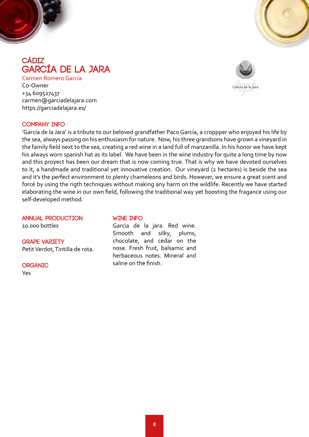<span id="page-7-0"></span>



## **cádiz García de la Jara**

Carmen Romero García Co-Owner +34 609527437 carmen@garciadelajara.com https://garciadelajara.es/



#### **COMPANY INFO**

'García de la Jara' is a tribute to our beloved grandfather Paco García, a croppper who enjoyed his life by the sea, always passing on his enthusiasm for nature. Now, his three grandsons have grown a vineyard in the family field next to the sea, creating a red wine in a land full of manzanilla. In his honor we have kept his always worn spanish hat as its label. We have been in the wine industry for quite a long time by now and this proyect has been our dream that is now coming true. That is why we have devoted ourselves to it, a handmade and traditional yet innovative creation. Our vineyard (2 hectares) is beside the sea and it's the perfect environment to plenty chameleons and birds. However, we ensure a great scent and forcé by using the rigth techniques without making any harm on the wildlife. Recently we have started elaborating the wine in our own field, following the traditional way yet boosting the fragance using our self-developed method.

#### **ANNUAL PRODUCTION**

10.000 bottles

## **GRAPE VARIETY**

Petit Verdot, Tintilla de rota.

**organic** Yes

#### **WINE INFO**

Garcia de la jara. Red wine. Smooth and silky, plums, chocolate, and cedar on the nose. Fresh fruit, balsamic and herbaceous notes. Mineral and saline on the finish.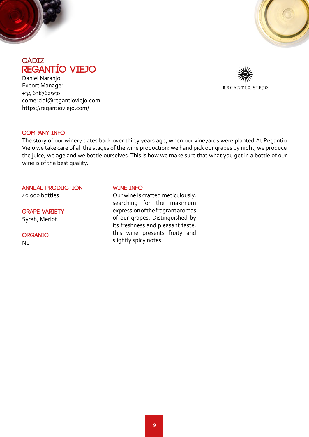<span id="page-8-0"></span>



### **cádiz REGANTÍO VIEJO**

Daniel Naranjo Export Manager +34 638762950 comercial@regantioviejo.com https://regantioviejo.com/



#### **COMPANY INFO**

The story of our winery dates back over thirty years ago, when our vineyards were planted.At Regantio Viejo we take care of all the stages of the wine production: we hand pick our grapes by night, we produce the juice, we age and we bottle ourselves. This is how we make sure that what you get in a bottle of our wine is of the best quality.

#### **ANNUAL PRODUCTION**

40.000 bottles

**GRAPE VARIETY** Syrah, Merlot.

**organic** No

#### **WINE INFO**

Our wine is crafted meticulously, searching for the maximum expression of the fragrant aromas of our grapes. Distinguished by its freshness and pleasant taste, this wine presents fruity and slightly spicy notes.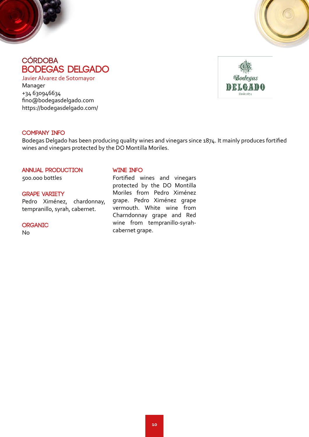<span id="page-9-0"></span>



## **córdoba BODEGAS DELGADO**

Javier Alvarez de Sotomayor Manager +34 630946634 fino@bodegasdelgado.com https://bodegasdelgado.com/

![](_page_9_Picture_4.jpeg)

#### **COMPANY INFO**

Bodegas Delgado has been producing quality wines and vinegars since 1874. It mainly produces fortified wines and vinegars protected by the DO Montilla Moriles.

#### **ANNUAL PRODUCTION**

500.000 bottles

#### **GRAPE VARIETY**

Pedro Ximénez, chardonnay, tempranillo, syrah, cabernet.

#### **organic**

No

#### **WINE INFO**

Fortified wines and vinegars protected by the DO Montilla Moriles from Pedro Ximénez grape. Pedro Ximénez grape vermouth. White wine from Charndonnay grape and Red wine from tempranillo-syrahcabernet grape.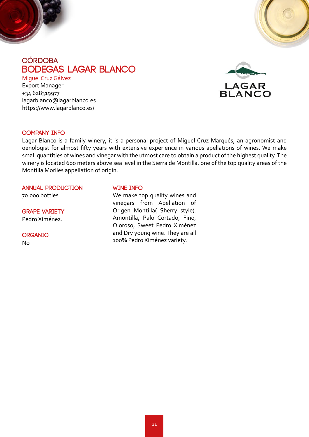<span id="page-10-0"></span>![](_page_10_Picture_0.jpeg)

## **córdoba BODEGAS LAGAR BLANCO**

Miguel Cruz Gálvez

Export Manager +34 628319977 lagarblanco@lagarblanco.es https://www.lagarblanco.es/

![](_page_10_Picture_4.jpeg)

#### **COMPANY INFO**

Lagar Blanco is a family winery, it is a personal project of Miguel Cruz Marqués, an agronomist and oenologist for almost fifty years with extensive experience in various apellations of wines. We make small quantities of wines and vinegar with the utmost care to obtain a product of the highest quality. The winery is located 600 meters above sea level in the Sierra de Montilla, one of the top quality areas of the Montilla Moriles appellation of origin.

#### **ANNUAL PRODUCTION**

70.000 bottles

**GRAPE VARIETY** Pedro Ximénez.

**organic** No

#### **WINE INFO**

We make top quality wines and vinegars from Apellation of Origen Montilla( Sherry style). Amontilla, Palo Cortado, Fino, Oloroso, Sweet Pedro Ximénez and Dry young wine. They are all 100% Pedro Ximénez variety.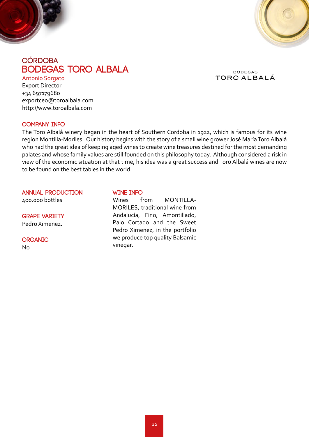<span id="page-11-0"></span>![](_page_11_Picture_0.jpeg)

![](_page_11_Picture_1.jpeg)

## **córdoba BODEGAS TORO ALBALA**

**BODEGAS** TORO ALBALÁ

Antonio Sorgato Export Director +34 697179680 exportceo@toroalbala.com http://www.toroalbala.com

#### **COMPANY INFO**

The Toro Albalá winery began in the heart of Southern Cordoba in 1922, which is famous for its wine region Montilla-Moriles. Our history begins with the story of a small wine grower José María Toro Albalá who had the great idea of keeping aged wines to create wine treasures destined for the most demanding palates and whose family values are still founded on this philosophy today. Although considered a risk in view of the economic situation at that time, his idea was a great success and Toro Albalá wines are now to be found on the best tables in the world.

**ANNUAL PRODUCTION**

400.000 bottles

#### **GRAPE VARIETY** Pedro Ximenez.

**organic** No

#### **WINE INFO**

Wines from MONTILLA-MORILES, traditional wine from Andalucía, Fino, Amontillado, Palo Cortado and the Sweet Pedro Ximenez, in the portfolio we produce top quality Balsamic vinegar.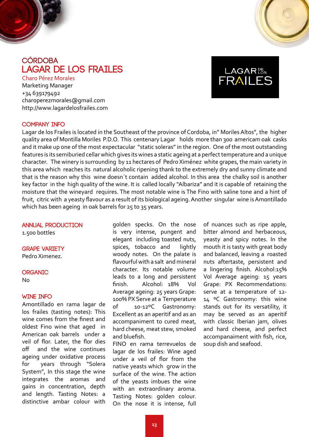<span id="page-12-0"></span>![](_page_12_Picture_0.jpeg)

## **córdoba LAGAR DE LOS FRAILES**

Charo Pérez Morales Marketing Manager +34 639179492 charoperezmorales@gmail.com http://www.lagardelosfrailes.com

![](_page_12_Picture_3.jpeg)

#### **COMPANY INFO**

Lagar de los Frailes is located in the Southeast of the province of Cordoba, in" Moriles Altos", the higher quality area of Montilla Moriles P.D.O. This centenary Lagar holds more than 300 americam oak casks and it make up one of the most expectacular "static soleras" in the region. One of the most outstanding features is its semiburied cellar which gives its wines a static ageing at a perfect temperature and a unique character. The winery is surrounding by 11 hectares of Pedro Ximénez white grapes, the main variety in this area which reaches its natural alcoholic ripening thank to the extremely dry and sunny climate and that is the reason why this wine doesn´t contain added alcohol. In this area the chalky soil is another key factor in the high quality of the wine. It is called locally "Albariza" and it is capable of retaining the moisture that the wineyard requires. The most notable wine is The Fino with saline tone and a hint of fruit, citric with a yeasty flavour as a result of its biological ageing. Another singular wine is Amontillado which has been ageing in oak barrels for 25 to 35 years.

#### **ANNUAL PRODUCTION**

1.500 bottles

**GRAPE VARIETY**

Pedro Ximenez.

#### **organic**

No

#### **WINE INFO**

Amontillado en rama lagar de los frailes (tasting notes): This wine comes from the finest and oldest Fino wine that aged in American oak barrels under a veil of flor. Later, the flor dies off and the wine continues ageing under oxidative process for years through "Solera System", In this stage the wine integrates the aromas and gains in concentration, depth and length. Tasting Notes: a distinctive ambar colour with

golden specks. On the nose is very intense, pungent and elegant including toasted nuts, spices, tobacco and lightly woody notes. On the palate is flavourful with a salt and mineral character. Its notable volume leads to a long and persistent finish. Alcohol: 18% Vol Average ageing: 25 years Grape: 100% PX Serve at a Temperature of 10-12ºC Gastronomy: Excellent as an aperitif and as an accompaniment to cured meat, hard cheese, meat stew, smoked and bluefish.

FINO en rama terrevuelos de lagar de los frailes: Wine aged under a veil of flor from the native yeasts which grow in the surface of the wine. The action of the yeasts imbues the wine with an extraordinary aroma. Tasting Notes: golden colour. On the nose it is intense, full

of nuances such as ripe apple, bitter almond and herbaceous, yeasty and spicy notes. In the mouth it is tasty with great body and balanced, leaving a roasted nuts aftertaste, persistent and a lingering finish. Alcohol:15% Vol Average ageing: 15 years Grape: PX Recommendations: serve at a temperature of 12- 14 °C Gastronomy: this wine stands out for its versatility, it may be served as an aperitif with classic Iberian jam, olives and hard cheese, and perfect accompanaiment with fish, rice, soup dish and seafood.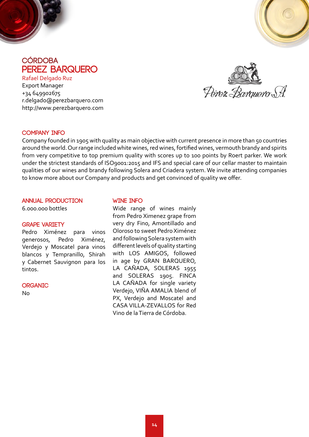<span id="page-13-0"></span>![](_page_13_Picture_0.jpeg)

![](_page_13_Picture_1.jpeg)

## **córdoba PEREZ BARQUERO**

Rafael Delgado Ruz Export Manager +34 649902675 r.delgado@perezbarquero.com http://www.perezbarquero.com

Perez Barcuero S.A.

#### **COMPANY INFO**

Company founded in 1905 with quality as main objective with current presence in more than 50 countries around the world. Our range included white wines, red wines, fortified wines, vermouth brandy and spirits from very competitive to top premium quality with scores up to 100 points by Roert parker. We work under the strictest standards of ISO9001:2015 and IFS and special care of our cellar master to maintain qualities of our wines and brandy following Solera and Criadera system. We invite attending companies to know more about our Company and products and get convinced of quality we offer.

#### **ANNUAL PRODUCTION**

6.000.000 bottles

#### **GRAPE VARIETY**

Pedro Ximénez para vinos generosos, Pedro Ximénez, Verdejo y Moscatel para vinos blancos y Tempranillo, Shirah y Cabernet Sauvignon para los tintos.

**organic**

No

#### **WINE INFO**

Wide range of wines mainly from Pedro Ximenez grape from very dry Fino, Amontillado and Oloroso to sweet Pedro Ximénez and following Solera system with different levels of quality starting with LOS AMIGOS, followed in age by GRAN BARQUERO, LA CAÑADA, SOLERAS 1955 and SOLERAS 1905. FINCA LA CAÑADA for single variety Verdejo, VIÑA AMALIA blend of PX, Verdejo and Moscatel and CASA VILLA-ZEVALLOS for Red Vino de la Tierra de Córdoba.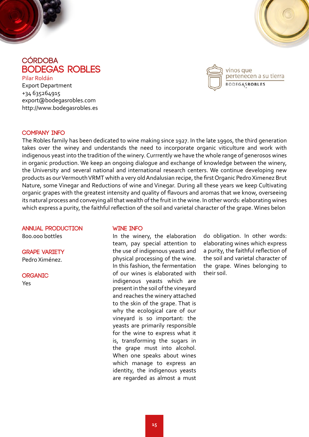<span id="page-14-0"></span>![](_page_14_Picture_0.jpeg)

![](_page_14_Picture_1.jpeg)

### **córdoba BODEGAS ROBLES**

Pilar Roldán Export Department +34 635264915 export@bodegasrobles.com http://www.bodegasrobles.es

![](_page_14_Picture_4.jpeg)

#### **COMPANY INFO**

The Robles family has been dedicated to wine making since 1927. In the late 1990s, the third generation takes over the winey and understands the need to incorporate organic viticulture and work with indigenous yeast into the tradition of the winery. Currrently we have the whole range of generosos wines in organic production. We keep an ongoing dialogue and exchange of knowledge between the winery, the University and several national and international research centers. We continue developing new products as our Vermouth VRMT whith a very old Andalusian recipe, the first Organic Pedro Ximenez Brut Nature, some Vinegar and Reductions of wine and Vinegar. During all these years we keep Cultivating organic grapes with the greatest intensity and quality of flavours and aromas that we know, overseeing its natural process and conveying all that wealth of the fruit in the wine. In other words: elaborating wines which express a purity, the faithful reflection of the soil and varietal character of the grape. Wines belon

#### **ANNUAL PRODUCTION**

800.000 bottles

**GRAPE VARIETY** Pedro Ximénez.

**organic**

Yes

#### **WINE INFO**

In the winery, the elaboration team, pay special attention to the use of indigenous yeasts and physical processing of the wine. In this fashion, the fermentation of our wines is elaborated with indigenous yeasts which are present in the soil of the vineyard and reaches the winery attached to the skin of the grape. That is why the ecological care of our vineyard is so important: the yeasts are primarily responsible for the wine to express what it is, transforming the sugars in the grape must into alcohol. When one speaks about wines which manage to express an identity, the indigenous yeasts are regarded as almost a must

do obligation. In other words: elaborating wines which express a purity, the faithful reflection of the soil and varietal character of the grape. Wines belonging to their soil.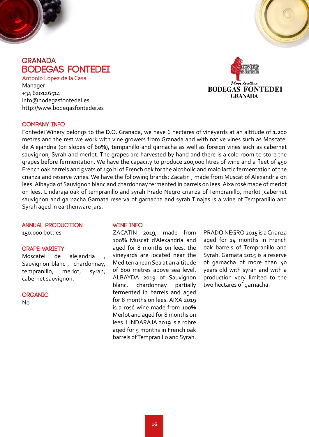<span id="page-15-0"></span>![](_page_15_Picture_0.jpeg)

**BODEGAS FONTEDEI** Antonio López de la Casa Manager +34 620126514 info@bodegasfontedei.es http://www.bodegasfontedei.es

![](_page_15_Picture_2.jpeg)

#### **COMPANY INFO**

Fontedei Winery belongs to the D.O. Granada, we have 6 hectares of vineyards at an altitude of 1.200 metres and the rest we work with vine growers from Granada and with native vines such as Moscatel de Alejandria (on slopes of 60%), tempanillo and garnacha as well as foreign vines such as cabernet sauvignon, Syrah and merlot. The grapes are harvested by hand and there is a cold room to store the grapes before fermentation. We have the capacity to produce 200,000 litres of wine and a fleet of 450 French oak barrels and 5 vats of 150 hl of French oak for the alcoholic and malo lactic fermentation of the crianza and reserve wines. We have the following brands: Zacatin , made from Muscat of Alexandria on lees. Albayda of Sauvignon blanc and chardonnay fermented in barrels on lees. Aixa rosé made of merlot on lees. Lindaraja oak of tempranillo and syrah Prado Negro crianza of Tempranillo, merlot ,cabernet sauvignon and garnacha Garnata reserva of garnacha and syrah Tinajas is a wine of Tempranillo and Syrah aged in earthenware jars.

#### **ANNUAL PRODUCTION**

150.000 bottles

#### **GRAPE VARIETY**

Moscatel de alejandria Sauvignon blanc , chardonnay, tempranillo, merlot, syrah, cabernet sauvignon.

#### **organic**

 $No$ 

#### **WINE INFO**

ZACATIN 2019, made from 100% Muscat d'Alexandria and aged for 8 months on lees, the vineyards are located near the Mediterranean Sea at an altitude of 800 metres above sea level. ALBAYDA 2019 of Sauvignon blanc, chardonnay partially fermented in barrels and aged for 8 months on lees. AIXA 2019 is a rosé wine made from 100% Merlot and aged for 8 months on lees. LINDARAJA 2019 is a robre aged for 5 months in French oak barrels of Tempranillo and Syrah.

PRADO NEGRO 2015 is a Crianza aged for 14 months in French oak barrels of Tempranillo and Syrah. Garnata 2015 is a reserve of garnacha of more than 40 years old with syrah and with a production very limited to the two hectares of garnacha.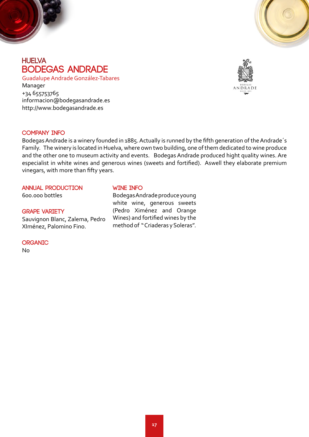<span id="page-16-0"></span>![](_page_16_Picture_0.jpeg)

![](_page_16_Picture_1.jpeg)

## **huelva BODEGAS ANDRADE**

Guadalupe Andrade González-Tabares Manager +34 655753765 informacion@bodegasandrade.es http://www.bodegasandrade.es

![](_page_16_Picture_4.jpeg)

#### **COMPANY INFO**

Bodegas Andrade is a winery founded in 1885. Actually is runned by the fifth generation of the Andrade´s Family. The winery is located in Huelva, where own two building, one of them dedicated to wine produce and the other one to museum activity and events. Bodegas Andrade produced hight quality wines. Are especialist in white wines and generous wines (sweets and fortified). Aswell they elaborate premium vinegars, with more than fifty years.

#### **ANNUAL PRODUCTION**

600.000 bottles

#### **GRAPE VARIETY**

Sauvignon Blanc, Zalema, Pedro XIménez, Palomino Fino.

#### **organic**

No

#### **WINE INFO**

Bodegas Andrade produce young white wine, generous sweets (Pedro Ximénez and Orange Wines) and fortified wines by the method of " Criaderas y Soleras".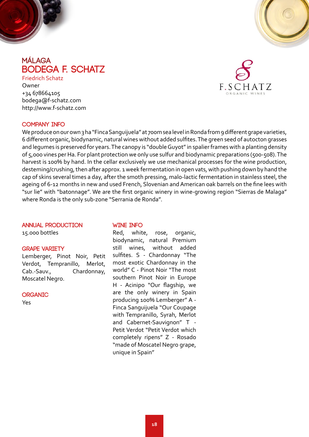<span id="page-17-0"></span>![](_page_17_Picture_0.jpeg)

## **málaga Bodega F. Schatz**

Friedrich Schatz Owner +34 678664105 bodega@f-schatz.com http://www.f-schatz.com

![](_page_17_Picture_3.jpeg)

#### **COMPANY INFO**

We produce on our own 3 ha "Finca Sanguijuela" at 700m sea level in Ronda from 9 different grape varieties, 6 different organic, biodynamic, natural wines without added sulfites. The green seed of autocton grasses and legumes is preserved for years. The canopy is "double Guyot" in spalier frames with a planting density of 5,000 vines per Ha. For plant protection we only use sulfur and biodynamic preparations (500-508). The harvest is 100% by hand. In the cellar exclusively we use mechanical processes for the wine production, desteming/crushing, then after approx. 1 week fermentation in open vats, with pushing down by hand the cap of skins several times a day, after the smoth pressing, malo-lactic fermentation in stainless steel, the ageing of 6-12 months in new and used French, Slovenian and American oak barrels on the fine lees with "sur lie" with "batonnage". We are the first organic winery in wine-growing region "Sierras de Malaga" where Ronda is the only sub-zone "Serrania de Ronda".

#### **ANNUAL PRODUCTION**

15.000 bottles

#### **GRAPE VARIETY**

Lemberger, Pinot Noir, Petit Verdot, Tempranillo, Merlot, Cab.-Sauv., Chardonnay, Moscatel Negro.

#### **organic**

Yes

#### **WINE INFO**

Red, white, rose, organic, biodynamic, natural Premium still wines, without added sulfites. S - Chardonnay "The most exotic Chardonnay in the world" C - Pinot Noir "The most southern Pinot Noir in Europe H - Acinipo "Our flagship, we are the only winery in Spain producing 100% Lemberger" A - Finca Sanguijuela "Our Coupage with Tempranillo, Syrah, Merlot and Cabernet-Sauvignon" T - Petit Verdot "Petit Verdot which completely ripens" Z - Rosado "made of Moscatel Negro grape, unique in Spain"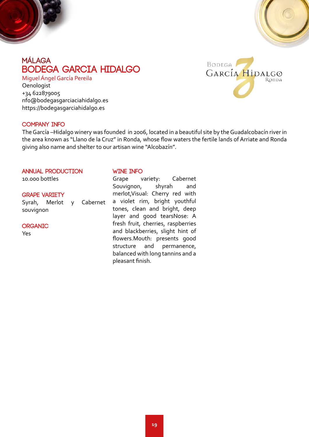<span id="page-18-0"></span>![](_page_18_Picture_0.jpeg)

## **Málaga BODEGA GARCIA HIDALGO**

Miguel Ángel García Pereila **Oenologist** +34 622879005 nfo@bodegasgarciaciahidalgo.es https://bodegasgarciahidalgo.es

![](_page_18_Picture_3.jpeg)

#### **COMPANY INFO**

The García –Hidalgo winery was founded in 2006, located in a beautiful site by the Guadalcobacín river in the area known as "Llano de la Cruz" in Ronda, whose flow waters the fertile lands of Arriate and Ronda giving also name and shelter to our artisan wine "Alcobazín".

#### **ANNUAL PRODUCTION**

10.000 bottles

#### **GRAPE VARIETY**

Syrah, Merlot y Cabernet souvignon

#### **organic**

Yes

#### **WINE INFO**

Grape variety: Cabernet Souvignon, shyrah and merlot,Visual: Cherry red with a violet rim, bright youthful tones, clean and bright, deep layer and good tearsNose: A fresh fruit, cherries, raspberries and blackberries, slight hint of flowers.Mouth: presents good structure and permanence, balanced with long tannins and a pleasant finish.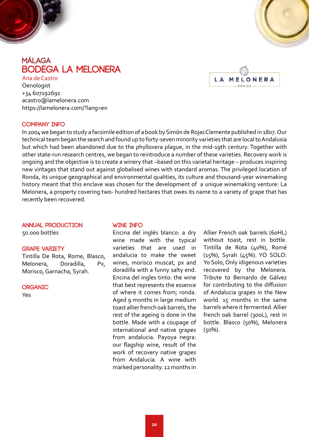<span id="page-19-0"></span>![](_page_19_Picture_0.jpeg)

## **málaga BODEGA LA MELONERA**

LA MELONERA  $RONDA$ 

Ana de Castro **Oenologist** +34 607192691 acastro@lamelonera.com https://lamelonera.com/?lang=en

#### **COMPANY INFO**

In 2004 we began to study a facsimile edition of a book by Simón de Rojas Clemente published in 1807. Our technical team began the search and found up to forty-seven minority varieties that are local to Andalusia but which had been abandoned due to the phylloxera plague, in the mid-19th century. Together with other state-run research centres, we began to reintroduce a number of these varieties. Recovery work is ongoing and the objective is to create a winery that –based on this varietal heritage – produces inspiring new vintages that stand out against globalised wines with standard aromas. The privileged location of Ronda, its unique geographical and environmental qualities, its culture and thousand-year winemaking history meant that this enclave was chosen for the development of a unique winemaking venture: La Melonera, a property covering two- hundred hectares that owes its name to a variety of grape that has recently been recovered.

#### **ANNUAL PRODUCTION**

50.000 bottles

#### **GRAPE VARIETY**

Tintilla De Rota, Rome, Blasco, Melonera, Doradilla, Px, Morisco, Garnacha, Syrah.

**organic**

Yes

#### **WINE INFO**

Encina del inglés blanco: a dry wine made with the typical varieties that are used in andalucia to make the sweet wines, morisco muscat, px and doradilla with a funny salty end. Encina del ingles tinto: the wine that best represents the essence of where it comes from; ronda. Aged 9 months in large medium toast allier french oak barrels, the rest of the ageing is done in the bottle. Made with a coupage of international and native grapes from andalucia. Payoya negra: our flagship wine, result of the work of recovery native grapes from Andalucia. A wine with marked personality. 12 months in

Allier French oak barrels (60HL) without toast, rest in bottle. Tintilla de Rota (40%), Romé (15%), Syrah (45%). YO SOLO: Yo Solo, Only idigenous varieties recovered by the Melonera. Tribute to Bernardo de Gálvez for contributing to the diffusion of Andalucia grapes in the New world. 15 months in the same barrels where it fermented. Allier french oak barrel (300L), rest in bottle. Blasco (50%), Melonera (50%).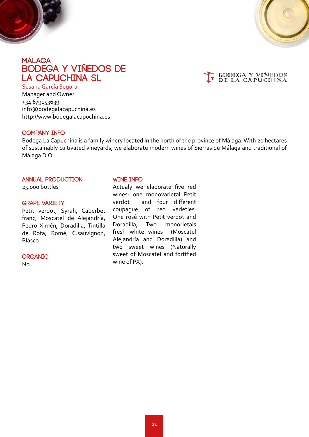<span id="page-20-0"></span>![](_page_20_Picture_0.jpeg)

![](_page_20_Picture_1.jpeg)

## **málaga BODEGA Y VIÑEDOS DE LA CAPUCHINA SL**

![](_page_20_Picture_3.jpeg)

Susana García Segura

Manager and Owner +34 679153639 info@bodegalacapuchina.es http://www.bodegalacapuchina.es

#### **COMPANY INFO**

Bodega La Capuchina is a family winery located in the north of the province of Málaga. With 20 hectares of sustainably cultivated vineyards, we elaborate modern wines of Sierras de Málaga and traditional of Málaga D.O.

#### **ANNUAL PRODUCTION**

25.000 bottles

#### **GRAPE VARIETY**

Petit verdot, Syrah, Caberbet franc, Moscatel de Alejandría, Pedro Ximén, Doradilla, Tintilla de Rota, Romé, C.sauvignon, Blasco.

#### **organic**

No

#### **WINE INFO**

Actualy we elaborate five red wines: one monovarietal Petit verdot and four different coupague of red varieties. One rosé with Petit verdot and Doradilla, Two monorietals fresh white wines (Moscatel Alejandría and Doradilla) and two sweet wines (Naturally sweet of Moscatel and fortified wine of PX).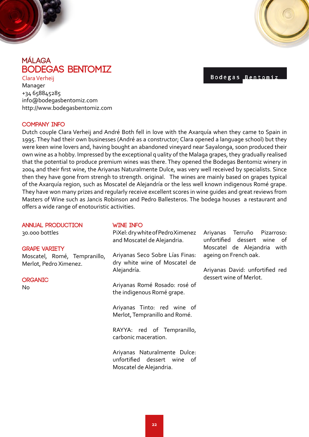<span id="page-21-0"></span>![](_page_21_Picture_0.jpeg)

## **málaga Bodegas Bentomiz**

http://www.bodegasbentomiz.com

Clara Verheij Manager +34 658845285 info@bodegasbentomiz.com Bodegas Bentomi

#### **COMPANY INFO**

Dutch couple Clara Verheij and André Both fell in love with the Axarquía when they came to Spain in 1995. They had their own businesses (André as a constructor; Clara opened a language school) but they were keen wine lovers and, having bought an abandoned vineyard near Sayalonga, soon produced their own wine as a hobby. Impressed by the exceptional q uality of the Malaga grapes, they gradually realised that the potential to produce premium wines was there. They opened the Bodegas Bentomiz winery in 2004 and their first wine, the Ariyanas Naturalmente Dulce, was very well received by specialists. Since then they have gone from strengh to strength. original. The wines are mainly based on grapes typical of the Axarquía region, such as Moscatel de Alejandría or the less well known indigenous Romé grape. They have won many prizes and regularly receive excellent scores in wine guides and great reviews from Masters of Wine such as Jancis Robinson and Pedro Ballesteros. The bodega houses a restaurant and offers a wide range of enotouristic activities.

| <b>ANNUAL PRODUCTION</b>                               | <b>WINE INFO</b>                                                                       |                                                            |
|--------------------------------------------------------|----------------------------------------------------------------------------------------|------------------------------------------------------------|
| 30.000 bottles                                         | PiXel: dry white of Pedro Ximenez<br>and Moscatel de Alejandria.                       | Ariyanas Terruño Pizarroso:<br>unfortified dessert wine of |
| <b>GRAPE VARIETY</b>                                   |                                                                                        | Moscatel de Alejandria with                                |
| Moscatel, Romé, Tempranillo,<br>Merlot, Pedro Ximenez. | Ariyanas Seco Sobre Lías Finas:<br>dry white wine of Moscatel de                       | ageing on French oak.                                      |
|                                                        | Alejandría.                                                                            | Ariyanas David: unfortified red<br>dessert wine of Merlot. |
| <b>ORGANIC</b><br>No                                   | Ariyanas Romé Rosado: rosé of<br>the indigenous Romé grape.                            |                                                            |
|                                                        | Ariyanas Tinto: red wine of<br>Merlot, Tempranillo and Romé.                           |                                                            |
|                                                        | RAYYA: red of Tempranillo,<br>carbonic maceration.                                     |                                                            |
|                                                        | Ariyanas Naturalmente Dulce:<br>unfortified dessert wine of<br>Moscatel de Alejandria. |                                                            |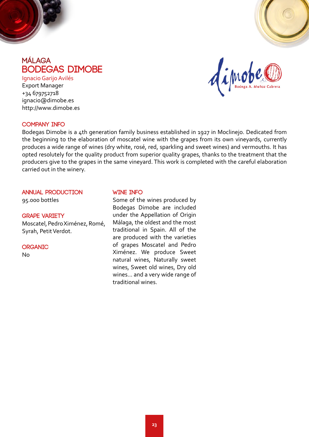<span id="page-22-0"></span>![](_page_22_Picture_0.jpeg)

![](_page_22_Picture_1.jpeg)

## **málaga Bodegas Dimobe**

Ignacio Garijo Avilés Export Manager +34 679752718 ignacio@dimobe.es http://www.dimobe.es

#### **COMPANY INFO**

Bodegas Dimobe is a 4th generation family business established in 1927 in Moclinejo. Dedicated from the beginning to the elaboration of moscatel wine with the grapes from its own vineyards, currently produces a wide range of wines (dry white, rosé, red, sparkling and sweet wines) and vermouths. It has opted resolutely for the quality product from superior quality grapes, thanks to the treatment that the producers give to the grapes in the same vineyard. This work is completed with the careful elaboration carried out in the winery.

#### **ANNUAL PRODUCTION**

95.000 bottles

#### **GRAPE VARIETY**

Moscatel, Pedro Ximénez, Romé, Syrah, Petit Verdot.

#### **organic**

No

#### **WINE INFO**

Some of the wines produced by Bodegas Dimobe are included under the Appellation of Origin Málaga, the oldest and the most traditional in Spain. All of the are produced with the varieties of grapes Moscatel and Pedro Ximénez. We produce Sweet natural wines, Naturally sweet wines, Sweet old wines, Dry old wines... and a very wide range of traditional wines.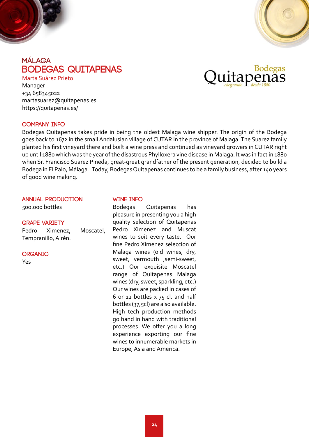<span id="page-23-0"></span>![](_page_23_Picture_0.jpeg)

![](_page_23_Picture_1.jpeg)

## **málaga BODEGAS QUITAPENAS**

Marta Suárez Prieto Manager +34 658345022 martasuarez@quitapenas.es https://quitapenas.es/

![](_page_23_Picture_4.jpeg)

#### **COMPANY INFO**

Bodegas Quitapenas takes pride in being the oldest Malaga wine shipper. The origin of the Bodega goes back to 1672 in the small Andalusian village of CUTAR in the province of Malaga. The Suarez family planted his first vineyard there and built a wine press and continued as vineyard growers in CUTAR right up until 1880 which was the year of the disastrous Phylloxera vine disease in Malaga. It was in fact in 1880 when Sr. Francisco Suarez Pineda, great-great grandfather of the present generation, decided to build a Bodega in El Palo, Málaga. Today, Bodegas Quitapenas continues to be a family business, after 140 years of good wine making.

#### **ANNUAL PRODUCTION**

500.000 bottles

#### **GRAPE VARIETY**

Pedro Ximenez, Moscatel, Tempranillo, Airén.

#### **organic**

Yes

#### **WINE INFO**

Bodegas Quitapenas has pleasure in presenting you a high quality selection of Quitapenas Pedro Ximenez and Muscat wines to suit every taste. Our fine Pedro Ximenez seleccion of Malaga wines (old wines, dry, sweet, vermouth ,semi-sweet, etc.) Our exquisite Moscatel range of Quitapenas Malaga wines (dry, sweet, sparkling, etc.) Our wines are packed in cases of 6 or 12 bottles x 75 cl. and half bottles (37,5cl) are also available. High tech production methods go hand in hand with traditional processes. We offer you a long experience exporting our fine wines to innumerable markets in Europe, Asia and America.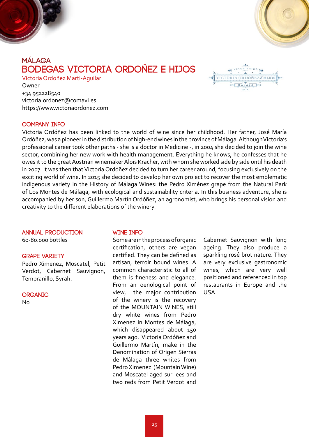<span id="page-24-0"></span>![](_page_24_Picture_0.jpeg)

## **málaga BODEGAS VICTORIA ORDOÑEZ E HIJOS**

Victoria Ordoñez Marti-Aguilar Owner +34 952228540 victoria.ordonez@comavi.es https://www.victoriaordonez.com

![](_page_24_Picture_4.jpeg)

#### **COMPANY INFO**

Victoria Ordóñez has been linked to the world of wine since her childhood. Her father, José María Ordóñez, was a pioneer in the distribution of high-end wines in the province of Málaga. Although Victoria's professional career took other paths - she is a doctor in Medicine -, in 2004 she decided to join the wine sector, combining her new work with health management. Everything he knows, he confesses that he owes it to the great Austrian winemaker Alois Kracher, with whom she worked side by side until his death in 2007. It was then that Victoria Ordóñez decided to turn her career around, focusing exclusively on the exciting world of wine. In 2015 she decided to develop her own project to recover the most emblematic indigenous variety in the History of Málaga Wines: the Pedro Ximénez grape from the Natural Park of Los Montes de Málaga, with ecological and sustainability criteria. In this business adventure, she is accompanied by her son, Guillermo Martín Ordóñez, an agronomist, who brings his personal vision and creativity to the different elaborations of the winery.

#### **ANNUAL PRODUCTION**

60-80.000 bottles

#### **GRAPE VARIETY**

Pedro Ximenez, Moscatel, Petit Verdot, Cabernet Sauvignon, Tempranillo, Syrah.

#### **organic**

No

#### **WINE INFO**

Some are in the process of organic certification, others are vegan certified. They can be defined as artisan, terroir bound wines. A common characteristic to all of them is fineness and elegance. From an oenological point of view, the major contribution of the winery is the recovery of the MOUNTAIN WINES, still dry white wines from Pedro Ximenez in Montes de Málaga, which disappeared about 150 years ago. Victoria Ordóñez and Guillermo Martín, make in the Denomination of Origen Sierras de Málaga three whites from Pedro Ximenez (Mountain Wine) and Moscatel aged sur lees and two reds from Petit Verdot and

Cabernet Sauvignon with long ageing. They also produce a sparkling rosé brut nature. They are very exclusive gastronomic wines, which are very well positioned and referenced in top restaurants in Europe and the USA.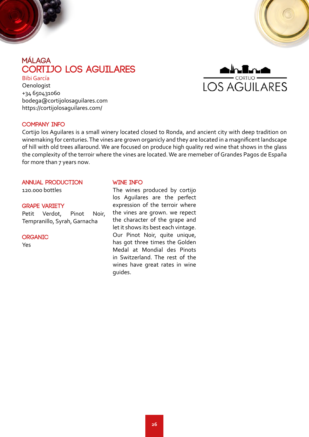<span id="page-25-0"></span>![](_page_25_Picture_0.jpeg)

![](_page_25_Picture_1.jpeg)

**LOS AGUILARES** 

**Oenologist** +34 650431060 bodega@cortijolosaguilares.com https://cortijolosaguilares.com/

#### **COMPANY INFO**

Cortijo los Aguilares is a small winery located closed to Ronda, and ancient city with deep tradition on winemaking for centuries. The vines are grown organicly and they are located in a magnificent landscape of hill with old trees allaround. We are focused on produce high quality red wine that shows in the glass the complexity of the terroir where the vines are located. We are memeber of Grandes Pagos de España for more than 7 years now.

#### **ANNUAL PRODUCTION**

120.000 bottles

#### **GRAPE VARIETY**

Petit Verdot, Pinot Noir, Tempranillo, Syrah, Garnacha

**organic**

Yes

#### **WINE INFO**

The wines produced by cortijo los Aguilares are the perfect expression of the terroir where the vines are grown. we repect the character of the grape and let it shows its best each vintage. Our Pinot Noir, quite unique, has got three times the Golden Medal at Mondial des Pinots in Switzerland. The rest of the wines have great rates in wine guides.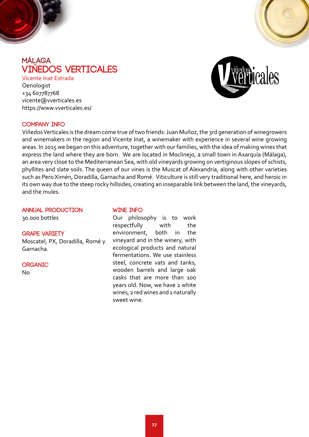<span id="page-26-0"></span>![](_page_26_Picture_0.jpeg)

## **málaga VIÑEDOS VERTICALES**

Vicente Inat Estrada **Oenologist** +34 607787768 vicente@vverticales.es https://www.vverticales.es/

![](_page_26_Picture_3.jpeg)

#### **COMPANY INFO**

Viñedos Verticales is the dream come true of two friends: Juan Muñoz, the 3rd generation of winegrowers and winemakers in the region and Vicente Inat, a winemaker with experience in several wine growing areas. In 2015 we began on this adventure, together with our families, with the idea of making wines that express the land where they are born. We are located in Moclinejo, a small town in Axarquía (Málaga), an area very close to the Mediterranean Sea, with old vineyards growing on vertiginous slopes of schists, phyllites and slate soils. The queen of our vines is the Muscat of Alexandria, along with other varieties such as Pero Ximén, Doradilla, Garnacha and Romé. Viticulture is still very traditional here, and heroic in its own way due to the steep rocky hillsides, creating an inseparable link between the land, the vineyards, and the mules.

### **ANNUAL PRODUCTION**

30.000 bottles

#### **GRAPE VARIETY**

Moscatel, PX, Doradilla, Romé y Garnacha.

#### **organic**

No

#### **WINE INFO**

Our philosophy is to work respectfully with the environment, both in the vineyard and in the winery, with ecological products and natural fermentations. We use stainless steel, concrete vats and tanks, wooden barrels and large oak casks that are more than 100 years old. Now, we have 2 white wines, 2 red wines and 1 naturally sweet wine.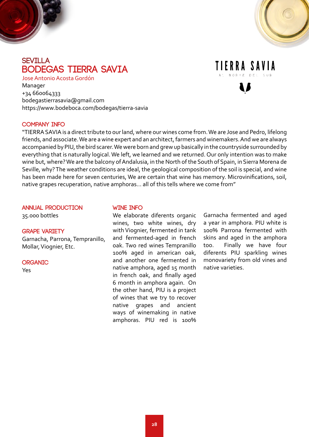<span id="page-27-0"></span>![](_page_27_Picture_0.jpeg)

![](_page_27_Picture_1.jpeg)

Manager +34 660064333 bodegastierrasavia@gmail.com https://www.bodeboca.com/bodegas/tierra-savia

## TIERRA SAVIA

#### **COMPANY INFO**

"TIERRA SAVIA is a direct tribute to our land, where our wines come from. We are Jose and Pedro, lifelong friends, and associate. We are a wine expert and an architect, farmers and winemakers. And we are always accompanied by PIU, the bird scarer. We were born and grew up basically in the countryside surrounded by everything that is naturally logical. We left, we learned and we returned. Our only intention was to make wine but, where? We are the balcony of Andalusia, in the North of the South of Spain, in Sierra Morena de Seville, why? The weather conditions are ideal, the geological composition of the soil is special, and wine has been made here for seven centuries, We are certain that wine has memory. Microvinifications, soil, native grapes recuperation, native amphoras... all of this tells where we come from"

#### **ANNUAL PRODUCTION**

35.000 bottles

#### **GRAPE VARIETY**

Garnacha, Parrona, Tempranillo, Mollar, Viognier, Etc.

#### **organic**

Yes

#### **WINE INFO**

We elaborate diferents organic wines, two white wines, dry with Viognier, fermented in tank and fermented-aged in french oak. Two red wines Tempranillo 100% aged in american oak, and another one fermented in native amphora, aged 15 month in french oak, and finally aged 6 month in amphora again. On the other hand, PIU is a project of wines that we try to recover native grapes and ancient ways of winemaking in native amphoras. PIU red is 100%

Garnacha fermented and aged a year in amphora. PIU white is 100% Parrona fermented with skins and aged in the amphora too. Finally we have four diferents PIU sparkling wines monovariety from old vines and native varieties.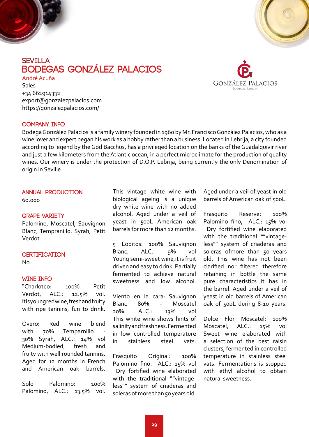<span id="page-28-0"></span>![](_page_28_Picture_0.jpeg)

## **sevilla Bodegas González Palacios**

André Acuña Sales +34 662914332 export@gonzalezpalacios.com https://gonzalezpalacios.com/

![](_page_28_Picture_3.jpeg)

Bodega González Palacios is a family winery founded in 1960 by Mr. Francisco González Palacios, who as a wine lover and expert began his work as a hobby rather than a business. Located in Lebrija, a city founded according to legend by the God Bacchus, has a privileged location on the banks of the Guadalquivir river and just a few kilometers from the Atlantic ocean, in a perfect microclimate for the production of quality wines. Our winery is under the protection of D.O.P. Lebrija, being currently the only Denomination of origin in Seville.

#### **ANNUAL PRODUCTION**

60.000

#### **GRAPE VARIETY**

Palomino, Moscatel, Sauvignon Blanc, Tempranillo, Syrah, Petit Verdot.

#### **CERTIFICATION**

No

#### **WINE INFO**

"Charloteo: 100% Petit Verdot, ALC.: 12.5% vol. It is young red wine, fresh and fruity with ripe tannins, fun to drink.

Overo: Red wine blend with 70% Temparnillo 30% Syrah, ALC.: 14% vol Medium-bodied, fresh and fruity with well rounded tannins. Aged for 12 months in French and American oak barrels.

Solo Palomino: 100% Palomino, ALC.: 13.5% vol. This vintage white wine with biological ageing is a unique dry white wine with no added alcohol. Aged under a veil of yeast in 500L American oak barrels for more than 12 months.

5 Lobitos: 100% Sauvignon Blanc. ALC.: 9% vol Young semi-sweet wine, it is fruit driven and easy to drink. Partially fermented to achieve natural sweetness and low alcohol.

Viento en la cara: Sauvignon Blanc 80% - Moscatel 20%. ALC.: 13% vol This white wine shows hints of salinity and freshness. Fermented in low controlled temperature in stainless steel vats.

Frasquito Original: 100% Palomino fino. ALC.: 15% vol Dry fortified wine elaborated with the traditional ""vintageless"" system of criaderas and soleras of more than 50 years old.

Aged under a veil of yeast in old barrels of American oak of 500L.

Frasquito Reserve: 100% Palomino fino, ALC.: 15% vol Dry fortified wine elaborated with the traditional ""vintageless"" system of criaderas and soleras ofmore than 50 years old. This wine has not been clarified nor filtered therefore retaining in bottle the same pure characteristics it has in the barrel. Aged under a veil of yeast in old barrels of American oak of 500L during 8-10 years.

Dulce Flor Moscatel: 100% Moscatel, ALC.: 15% vol Sweet wine elaborated with a selection of the best raisin clusters, fermented in controlled temperature in stainless steel vats. Fermentations is stopped with ethyl alcohol to obtain natural sweetness.

![](_page_28_Picture_22.jpeg)